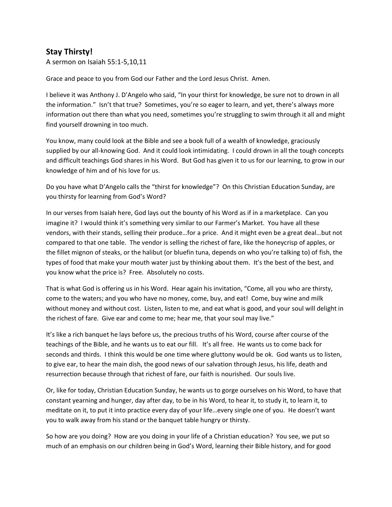## **Stay Thirsty!**

A sermon on Isaiah 55:1-5,10,11

Grace and peace to you from God our Father and the Lord Jesus Christ. Amen.

I believe it was Anthony J. D'Angelo who said, "In your thirst for knowledge, be sure not to drown in all the information." Isn't that true? Sometimes, you're so eager to learn, and yet, there's always more information out there than what you need, sometimes you're struggling to swim through it all and might find yourself drowning in too much.

You know, many could look at the Bible and see a book full of a wealth of knowledge, graciously supplied by our all-knowing God. And it could look intimidating. I could drown in all the tough concepts and difficult teachings God shares in his Word. But God has given it to us for our learning, to grow in our knowledge of him and of his love for us.

Do you have what D'Angelo calls the "thirst for knowledge"? On this Christian Education Sunday, are you thirsty for learning from God's Word?

In our verses from Isaiah here, God lays out the bounty of his Word as if in a marketplace. Can you imagine it? I would think it's something very similar to our Farmer's Market. You have all these vendors, with their stands, selling their produce…for a price. And it might even be a great deal…but not compared to that one table. The vendor is selling the richest of fare, like the honeycrisp of apples, or the fillet mignon of steaks, or the halibut (or bluefin tuna, depends on who you're talking to) of fish, the types of food that make your mouth water just by thinking about them. It's the best of the best, and you know what the price is? Free. Absolutely no costs.

That is what God is offering us in his Word. Hear again his invitation, "Come, all you who are thirsty, come to the waters; and you who have no money, come, buy, and eat! Come, buy wine and milk without money and without cost. Listen, listen to me, and eat what is good, and your soul will delight in the richest of fare. Give ear and come to me; hear me, that your soul may live."

It's like a rich banquet he lays before us, the precious truths of his Word, course after course of the teachings of the Bible, and he wants us to eat our fill. It's all free. He wants us to come back for seconds and thirds. I think this would be one time where gluttony would be ok. God wants us to listen, to give ear, to hear the main dish, the good news of our salvation through Jesus, his life, death and resurrection because through that richest of fare, our faith is nourished. Our souls live.

Or, like for today, Christian Education Sunday, he wants us to gorge ourselves on his Word, to have that constant yearning and hunger, day after day, to be in his Word, to hear it, to study it, to learn it, to meditate on it, to put it into practice every day of your life…every single one of you. He doesn't want you to walk away from his stand or the banquet table hungry or thirsty.

So how are you doing? How are you doing in your life of a Christian education? You see, we put so much of an emphasis on our children being in God's Word, learning their Bible history, and for good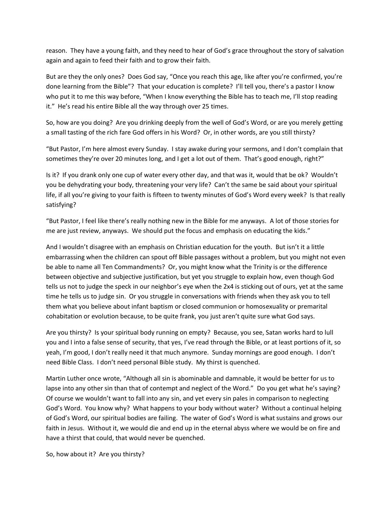reason. They have a young faith, and they need to hear of God's grace throughout the story of salvation again and again to feed their faith and to grow their faith.

But are they the only ones? Does God say, "Once you reach this age, like after you're confirmed, you're done learning from the Bible"? That your education is complete? I'll tell you, there's a pastor I know who put it to me this way before, "When I know everything the Bible has to teach me, I'll stop reading it." He's read his entire Bible all the way through over 25 times.

So, how are you doing? Are you drinking deeply from the well of God's Word, or are you merely getting a small tasting of the rich fare God offers in his Word? Or, in other words, are you still thirsty?

"But Pastor, I'm here almost every Sunday. I stay awake during your sermons, and I don't complain that sometimes they're over 20 minutes long, and I get a lot out of them. That's good enough, right?"

Is it? If you drank only one cup of water every other day, and that was it, would that be ok? Wouldn't you be dehydrating your body, threatening your very life? Can't the same be said about your spiritual life, if all you're giving to your faith is fifteen to twenty minutes of God's Word every week? Is that really satisfying?

"But Pastor, I feel like there's really nothing new in the Bible for me anyways. A lot of those stories for me are just review, anyways. We should put the focus and emphasis on educating the kids."

And I wouldn't disagree with an emphasis on Christian education for the youth. But isn't it a little embarrassing when the children can spout off Bible passages without a problem, but you might not even be able to name all Ten Commandments? Or, you might know what the Trinity is or the difference between objective and subjective justification, but yet you struggle to explain how, even though God tells us not to judge the speck in our neighbor's eye when the 2x4 is sticking out of ours, yet at the same time he tells us to judge sin. Or you struggle in conversations with friends when they ask you to tell them what you believe about infant baptism or closed communion or homosexuality or premarital cohabitation or evolution because, to be quite frank, you just aren't quite sure what God says.

Are you thirsty? Is your spiritual body running on empty? Because, you see, Satan works hard to lull you and I into a false sense of security, that yes, I've read through the Bible, or at least portions of it, so yeah, I'm good, I don't really need it that much anymore. Sunday mornings are good enough. I don't need Bible Class. I don't need personal Bible study. My thirst is quenched.

Martin Luther once wrote, "Although all sin is abominable and damnable, it would be better for us to lapse into any other sin than that of contempt and neglect of the Word." Do you get what he's saying? Of course we wouldn't want to fall into any sin, and yet every sin pales in comparison to neglecting God's Word. You know why? What happens to your body without water? Without a continual helping of God's Word, our spiritual bodies are failing. The water of God's Word is what sustains and grows our faith in Jesus. Without it, we would die and end up in the eternal abyss where we would be on fire and have a thirst that could, that would never be quenched.

So, how about it? Are you thirsty?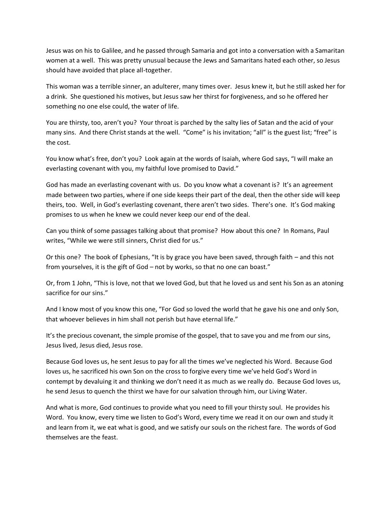Jesus was on his to Galilee, and he passed through Samaria and got into a conversation with a Samaritan women at a well. This was pretty unusual because the Jews and Samaritans hated each other, so Jesus should have avoided that place all-together.

This woman was a terrible sinner, an adulterer, many times over. Jesus knew it, but he still asked her for a drink. She questioned his motives, but Jesus saw her thirst for forgiveness, and so he offered her something no one else could, the water of life.

You are thirsty, too, aren't you? Your throat is parched by the salty lies of Satan and the acid of your many sins. And there Christ stands at the well. "Come" is his invitation; "all" is the guest list; "free" is the cost.

You know what's free, don't you? Look again at the words of Isaiah, where God says, "I will make an everlasting covenant with you, my faithful love promised to David."

God has made an everlasting covenant with us. Do you know what a covenant is? It's an agreement made between two parties, where if one side keeps their part of the deal, then the other side will keep theirs, too. Well, in God's everlasting covenant, there aren't two sides. There's one. It's God making promises to us when he knew we could never keep our end of the deal.

Can you think of some passages talking about that promise? How about this one? In Romans, Paul writes, "While we were still sinners, Christ died for us."

Or this one? The book of Ephesians, "It is by grace you have been saved, through faith – and this not from yourselves, it is the gift of God – not by works, so that no one can boast."

Or, from 1 John, "This is love, not that we loved God, but that he loved us and sent his Son as an atoning sacrifice for our sins."

And I know most of you know this one, "For God so loved the world that he gave his one and only Son, that whoever believes in him shall not perish but have eternal life."

It's the precious covenant, the simple promise of the gospel, that to save you and me from our sins, Jesus lived, Jesus died, Jesus rose.

Because God loves us, he sent Jesus to pay for all the times we've neglected his Word. Because God loves us, he sacrificed his own Son on the cross to forgive every time we've held God's Word in contempt by devaluing it and thinking we don't need it as much as we really do. Because God loves us, he send Jesus to quench the thirst we have for our salvation through him, our Living Water.

And what is more, God continues to provide what you need to fill your thirsty soul. He provides his Word. You know, every time we listen to God's Word, every time we read it on our own and study it and learn from it, we eat what is good, and we satisfy our souls on the richest fare. The words of God themselves are the feast.